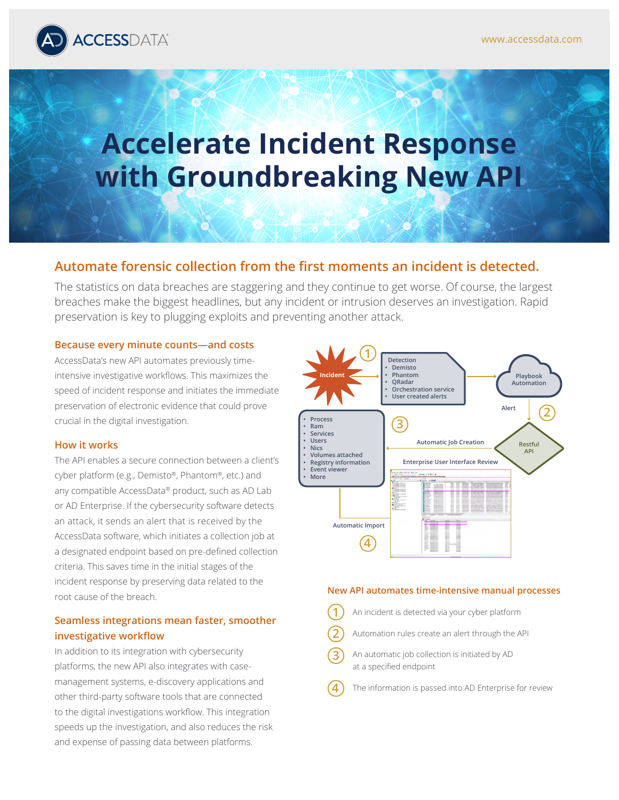

# **Accelerate Incident Response with Groundbreaking New API**

## **Automate forensic collection from the first moments an incident is detected.**

The statistics on data breaches are staggering and they continue to get worse. Of course, the largest breaches make the biggest headlines, but any incident or intrusion deserves an investigation. Rapid preservation is key to plugging exploits and preventing another attack.

#### **Because every minute counts—and costs**

AccessData's new API automates previously timeintensive investigative workflows. This maximizes the speed of incident response and initiates the immediate preservation of electronic evidence that could prove crucial in the digital investigation.

#### **How it works**

The API enables a secure connection between a client's cyber platform (e.g., Demisto®, Phantom®, etc.) and any compatible AccessData® product, such as AD Lab or AD Enterprise. If the cybersecurity software detects an attack, it sends an alert that is received by the AccessData software, which initiates a collection job at a designated endpoint based on pre-defined collection criteria. This saves time in the initial stages of the incident response by preserving data related to the root cause of the breach.

## **Seamless integrations mean faster, smoother investigative workflow**

In addition to its integration with cybersecurity platforms, the new API also integrates with casemanagement systems, e-discovery applications and other third-party software tools that are connected to the digital investigations workflow. This integration speeds up the investigation, and also reduces the risk and expense of passing data between platforms.



#### **New API automates time-intensive manual processes**

- An incident is detected via your cyber platform **1**
- Automation rules create an alert through the API **2**
- An automatic job collection is initiated by AD at a specified endpoint **3**
- The information is passed into AD Enterprise for review **4**